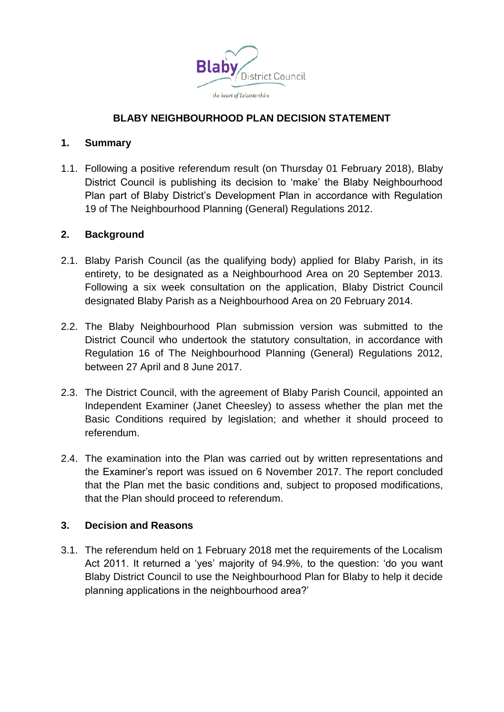

# **BLABY NEIGHBOURHOOD PLAN DECISION STATEMENT**

## **1. Summary**

1.1. Following a positive referendum result (on Thursday 01 February 2018), Blaby District Council is publishing its decision to 'make' the Blaby Neighbourhood Plan part of Blaby District's Development Plan in accordance with Regulation 19 of The Neighbourhood Planning (General) Regulations 2012.

## **2. Background**

- 2.1. Blaby Parish Council (as the qualifying body) applied for Blaby Parish, in its entirety, to be designated as a Neighbourhood Area on 20 September 2013. Following a six week consultation on the application, Blaby District Council designated Blaby Parish as a Neighbourhood Area on 20 February 2014.
- 2.2. The Blaby Neighbourhood Plan submission version was submitted to the District Council who undertook the statutory consultation, in accordance with Regulation 16 of The Neighbourhood Planning (General) Regulations 2012, between 27 April and 8 June 2017.
- 2.3. The District Council, with the agreement of Blaby Parish Council, appointed an Independent Examiner (Janet Cheesley) to assess whether the plan met the Basic Conditions required by legislation; and whether it should proceed to referendum.
- 2.4. The examination into the Plan was carried out by written representations and the Examiner's report was issued on 6 November 2017. The report concluded that the Plan met the basic conditions and, subject to proposed modifications, that the Plan should proceed to referendum.

# **3. Decision and Reasons**

3.1. The referendum held on 1 February 2018 met the requirements of the Localism Act 2011. It returned a 'yes' majority of 94.9%, to the question: 'do you want Blaby District Council to use the Neighbourhood Plan for Blaby to help it decide planning applications in the neighbourhood area?'